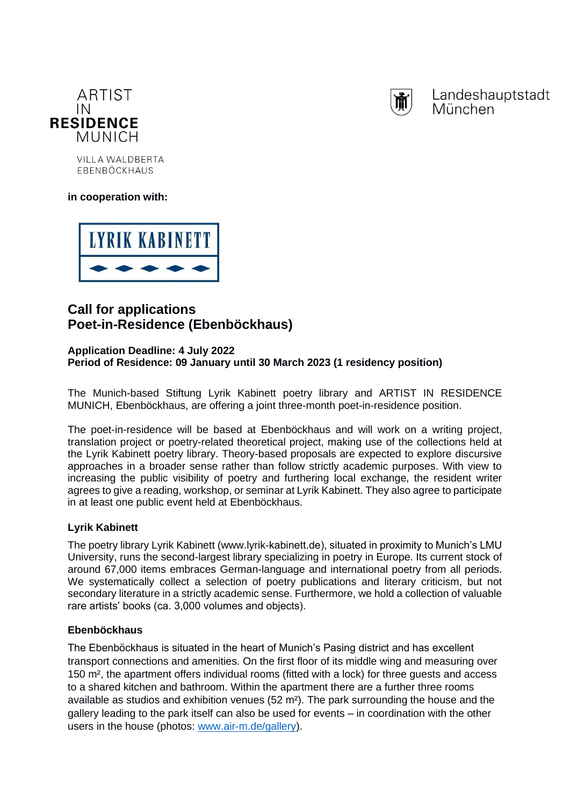



Landeshauptstadt München

VII LA WALDRERTA EBENBÖCKHAUS

**in cooperation with:**



# **Call for applications Poet-in-Residence (Ebenböckhaus)**

## **Application Deadline: 4 July 2022 Period of Residence: 09 January until 30 March 2023 (1 residency position)**

The Munich-based Stiftung Lyrik Kabinett poetry library and ARTIST IN RESIDENCE MUNICH, Ebenböckhaus, are offering a joint three-month poet-in-residence position.

The poet-in-residence will be based at Ebenböckhaus and will work on a writing project, translation project or poetry-related theoretical project, making use of the collections held at the Lyrik Kabinett poetry library. Theory-based proposals are expected to explore discursive approaches in a broader sense rather than follow strictly academic purposes. With view to increasing the public visibility of poetry and furthering local exchange, the resident writer agrees to give a reading, workshop, or seminar at Lyrik Kabinett. They also agree to participate in at least one public event held at Ebenböckhaus.

# **Lyrik Kabinett**

The poetry library Lyrik Kabinett (www.lyrik-kabinett.de), situated in proximity to Munich's LMU University, runs the second-largest library specializing in poetry in Europe. Its current stock of around 67,000 items embraces German-language and international poetry from all periods. We systematically collect a selection of poetry publications and literary criticism, but not secondary literature in a strictly academic sense. Furthermore, we hold a collection of valuable rare artists' books (ca. 3,000 volumes and objects).

# **Ebenböckhaus**

The Ebenböckhaus is situated in the heart of Munich's Pasing district and has excellent transport connections and amenities. On the first floor of its middle wing and measuring over 150 m², the apartment offers individual rooms (fitted with a lock) for three guests and access to a shared kitchen and bathroom. Within the apartment there are a further three rooms available as studios and exhibition venues  $(52 \text{ m}^2)$ . The park surrounding the house and the gallery leading to the park itself can also be used for events – in coordination with the other users in the house (photos: [www.air-m.de/gallery\)](http://www.air-m.de/gallery).